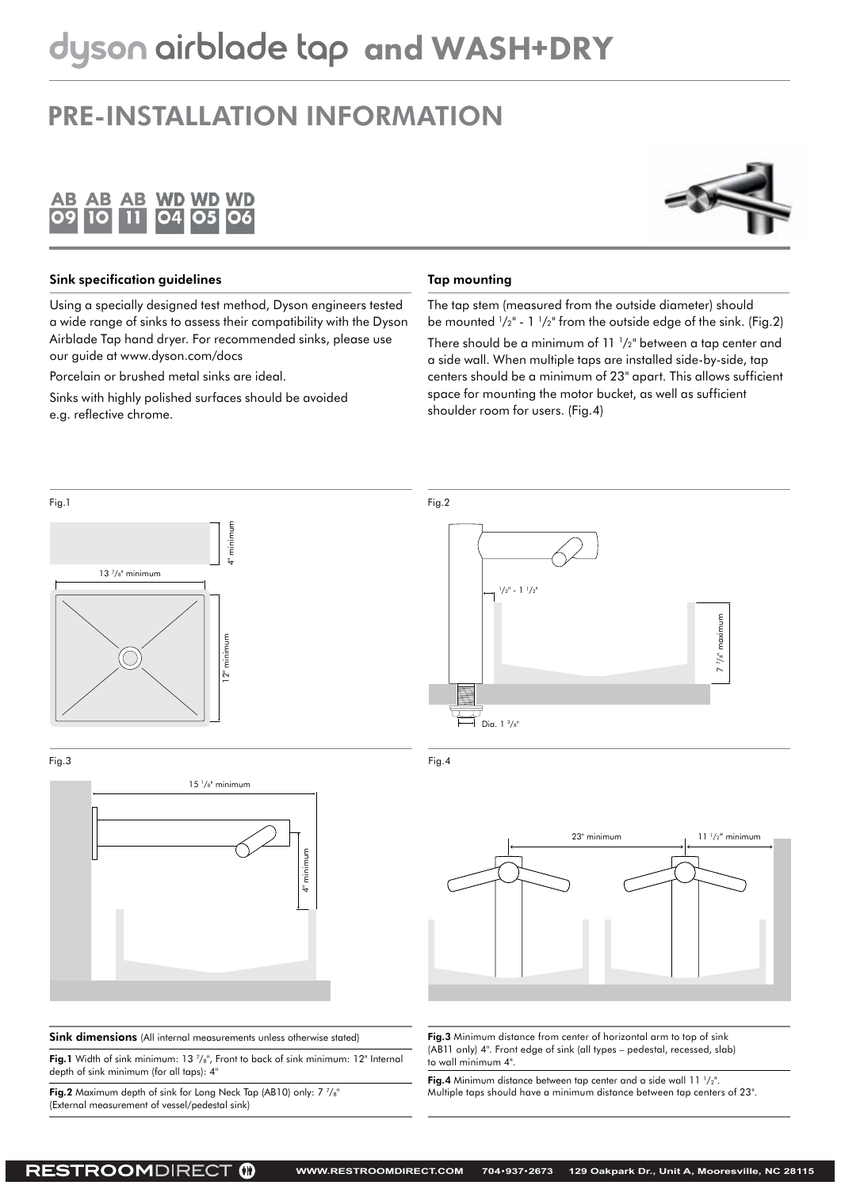### PRE-INSTALLATION INFORMATION





#### Sink specification guidelines

Using a specially designed test method, Dyson engineers tested a wide range of sinks to assess their compatibility with the Dyson Airblade Tap hand dryer. For recommended sinks, please use our guide at www.dyson.com/docs

Porcelain or brushed metal sinks are ideal.

Sinks with highly polished surfaces should be avoided e.g. reflective chrome.

#### Tap mounting

The tap stem (measured from the outside diameter) should be mounted  $\frac{1}{2}$ " - 1  $\frac{1}{2}$ " from the outside edge of the sink. (Fig.2) There should be a minimum of 11 1 /2" between a tap center and a side wall. When multiple taps are installed side-by-side, tap centers should be a minimum of 23" apart. This allows sufficient space for mounting the motor bucket, as well as sufficient shoulder room for users. (Fig.4)

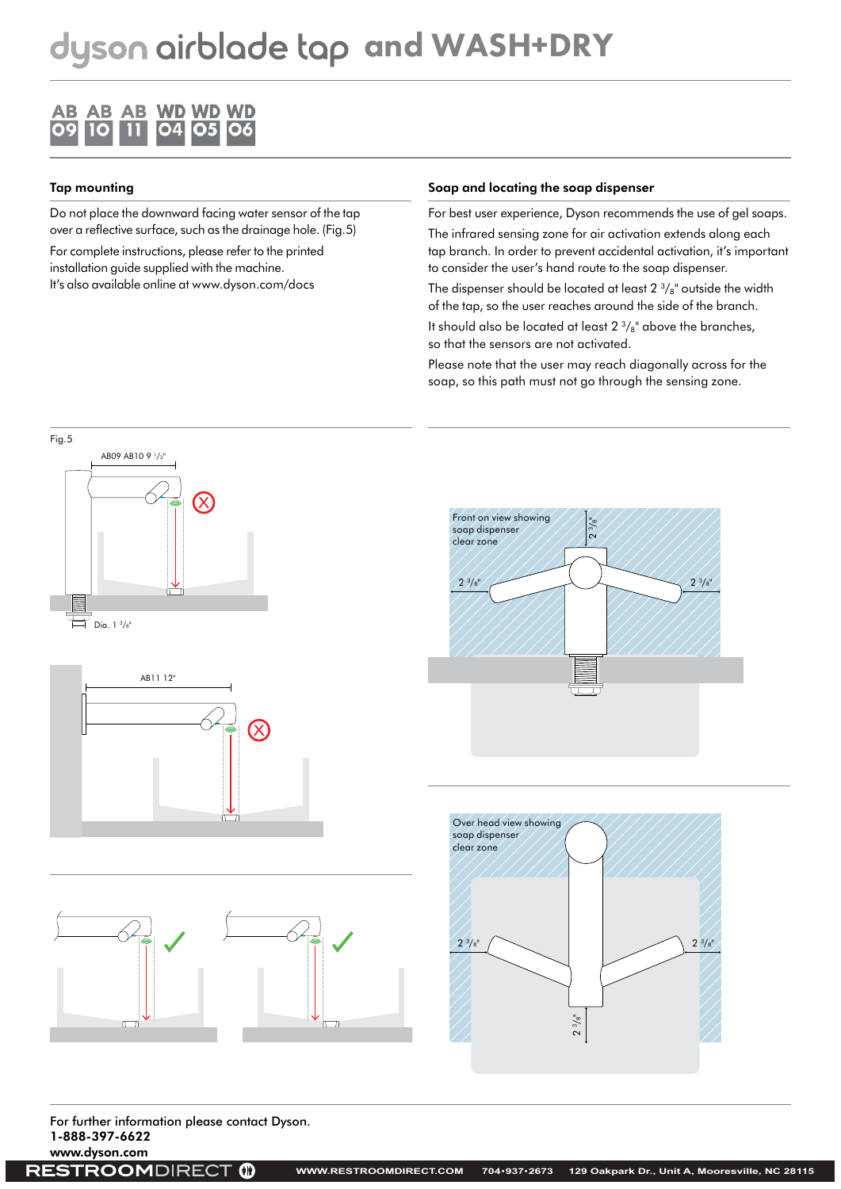

### Tap mounting

Do not place the downward facing water sensor of the tap over a reflective surface, such as the drainage hole. (Fig.5)

For complete instructions, please refer to the printed installation guide supplied with the machine. It's also available online at www.dyson.com/docs

#### Soap and locating the soap dispenser

For best user experience, Dyson recommends the use of gel soaps.

The infrared sensing zone for air activation extends along each tap branch. In order to prevent accidental activation, it's important to consider the user's hand route to the soap dispenser.

The dispenser should be located at least  $2\frac{3}{8}$ " outside the width of the tap, so the user reaches around the side of the branch.

It should also be located at least  $2 \frac{3}{8}$ " above the branches, so that the sensors are not activated.

Please note that the user may reach diagonally across for the soap, so this path must not go through the sensing zone.











For further information please contact Dyson. 1-888-397-6622

www.dyson.com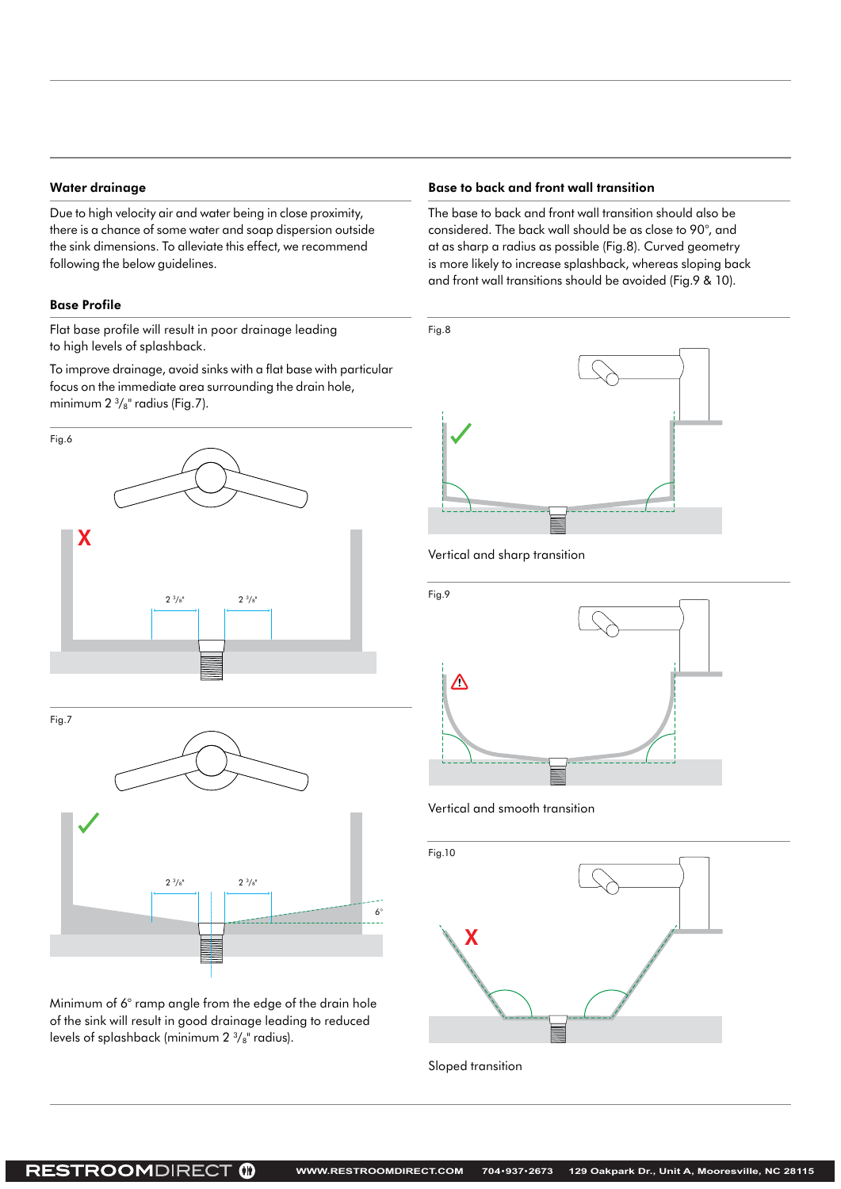#### Water drainage

Due to high velocity air and water being in close proximity, there is a chance of some water and soap dispersion outside the sink dimensions. To alleviate this effect, we recommend following the below guidelines.

#### Base Profile

Flat base profile will result in poor drainage leading to high levels of splashback.

To improve drainage, avoid sinks with a flat base with particular focus on the immediate area surrounding the drain hole, minimum  $2 \frac{3}{8}$ " radius (Fig.7).





Minimum of 6° ramp angle from the edge of the drain hole of the sink will result in good drainage leading to reduced levels of splashback (minimum 2 $\frac{3}{8}$ " radius).

#### Base to back and front wall transition

The base to back and front wall transition should also be considered. The back wall should be as close to 90°, and at as sharp a radius as possible (Fig.8). Curved geometry is more likely to increase splashback, whereas sloping back and front wall transitions should be avoided (Fig.9 & 10).







Vertical and smooth transition



Sloped transition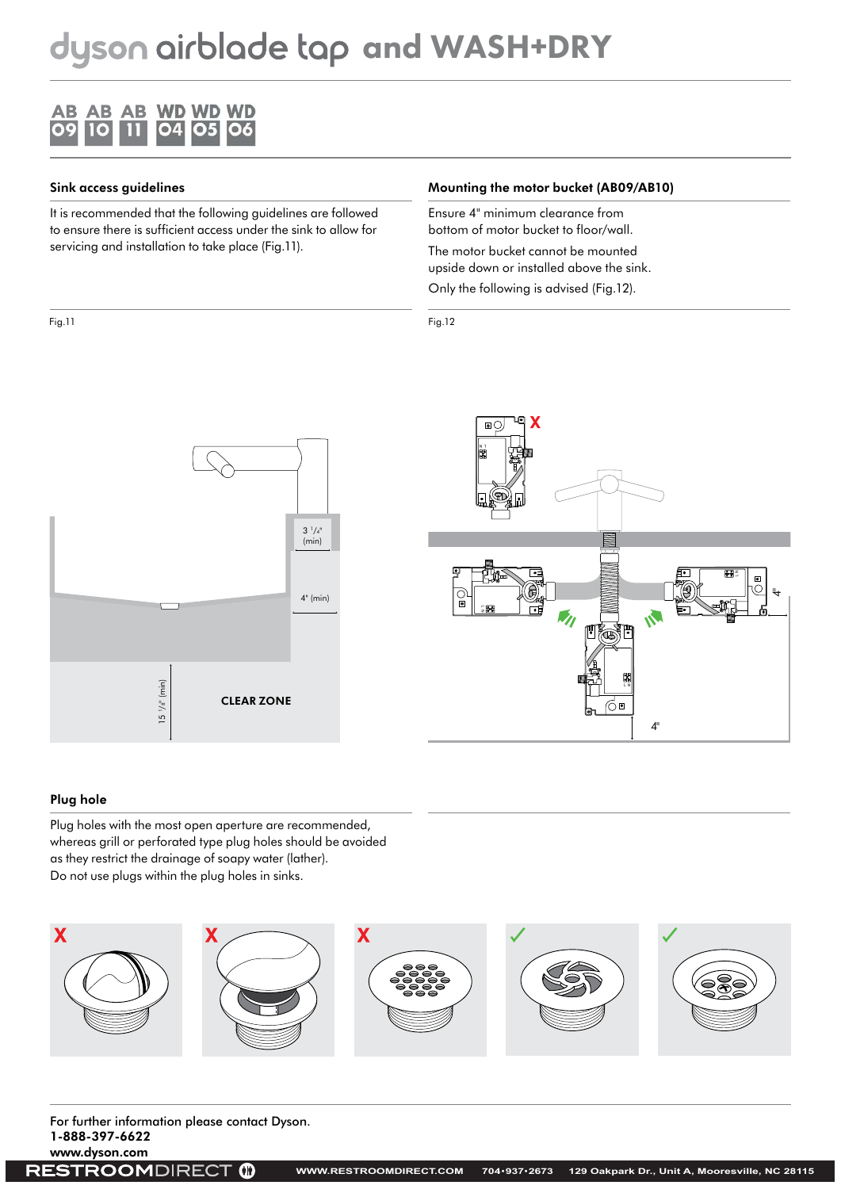#### **AB AB AB WD WD WD**  $O<sub>4</sub>$ 09 10 05 06

#### Sink access guidelines

It is recommended that the following guidelines are followed to ensure there is sufficient access under the sink to allow for servicing and installation to take place (Fig.11).

#### Mounting the motor bucket (AB09/AB10)

Ensure 4" minimum clearance from bottom of motor bucket to floor/wall.

The motor bucket cannot be mounted upside down or installed above the sink.

Only the following is advised (Fig.12).

#### Fig.11 Fig.12





#### Plug hole

Plug holes with the most open aperture are recommended, whereas grill or perforated type plug holes should be avoided as they restrict the drainage of soapy water (lather). Do not use plugs within the plug holes in sinks.



For further information please contact Dyson. 1-888-397-6622

 $\bullet$ 

www.dyson.com **RESTROOMDIRECT**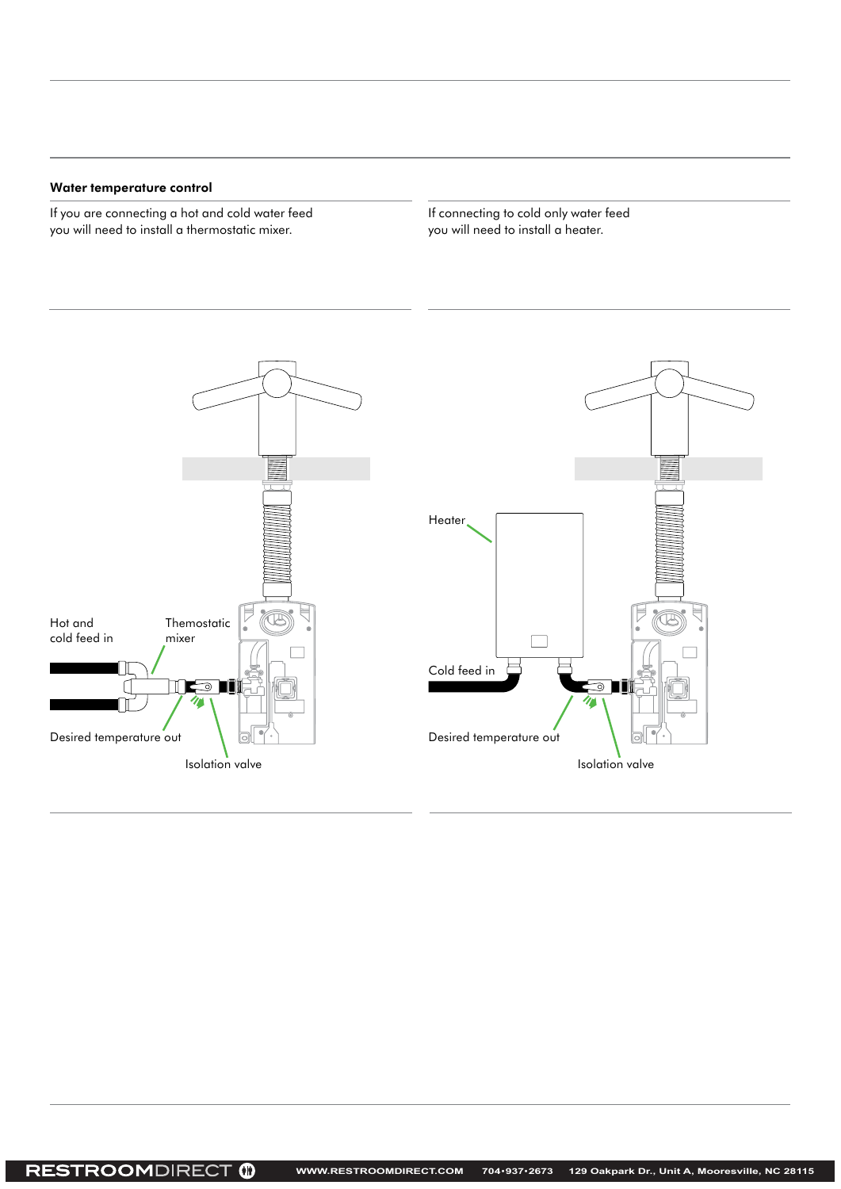#### Water temperature control

If you are connecting a hot and cold water feed you will need to install a thermostatic mixer.

If connecting to cold only water feed you will need to install a heater.

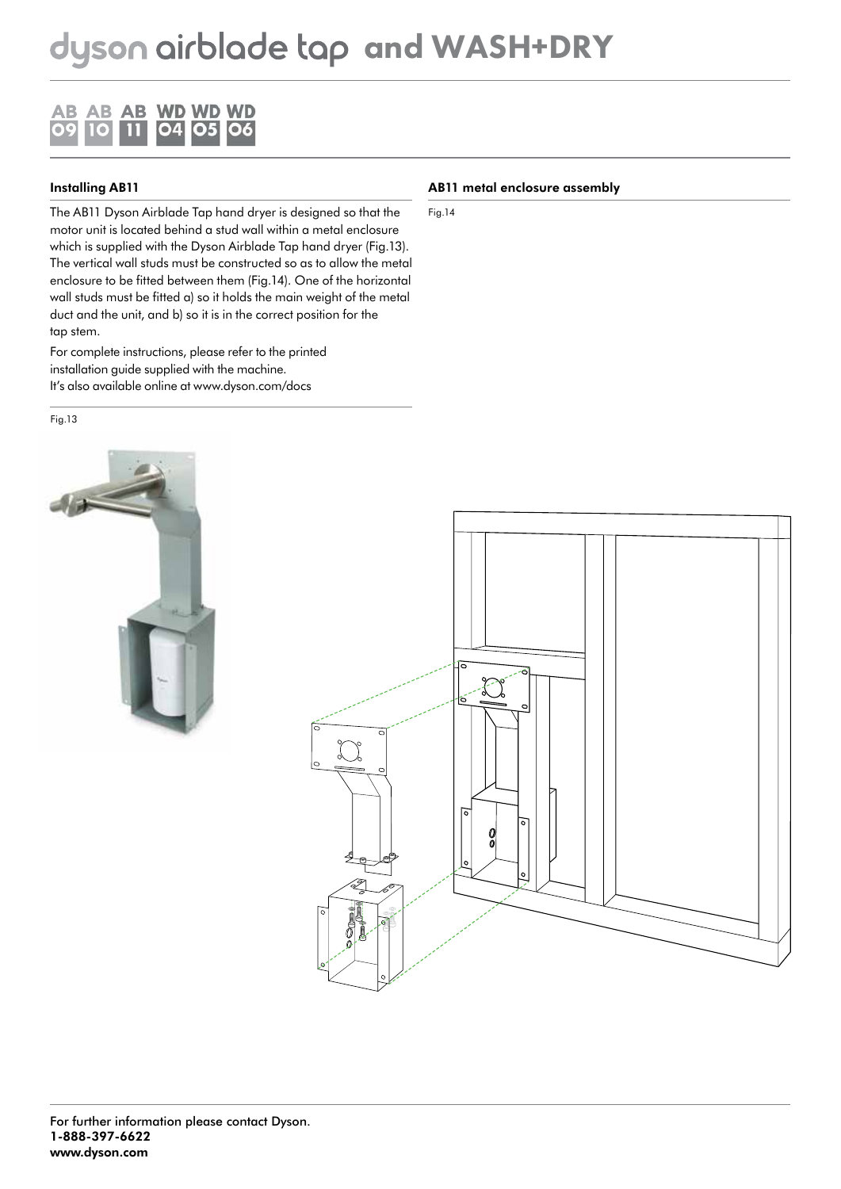

### Installing AB11

The AB11 Dyson Airblade Tap hand dryer is designed so that the motor unit is located behind a stud wall within a metal enclosure which is supplied with the Dyson Airblade Tap hand dryer (Fig.13). The vertical wall studs must be constructed so as to allow the metal enclosure to be fitted between them (Fig.14). One of the horizontal wall studs must be fitted a) so it holds the main weight of the metal duct and the unit, and b) so it is in the correct position for the tap stem.

For complete instructions, please refer to the printed installation guide supplied with the machine. It's also available online at www.dyson.com/docs

Fig.13



#### AB11 metal enclosure assembly

Fig.14

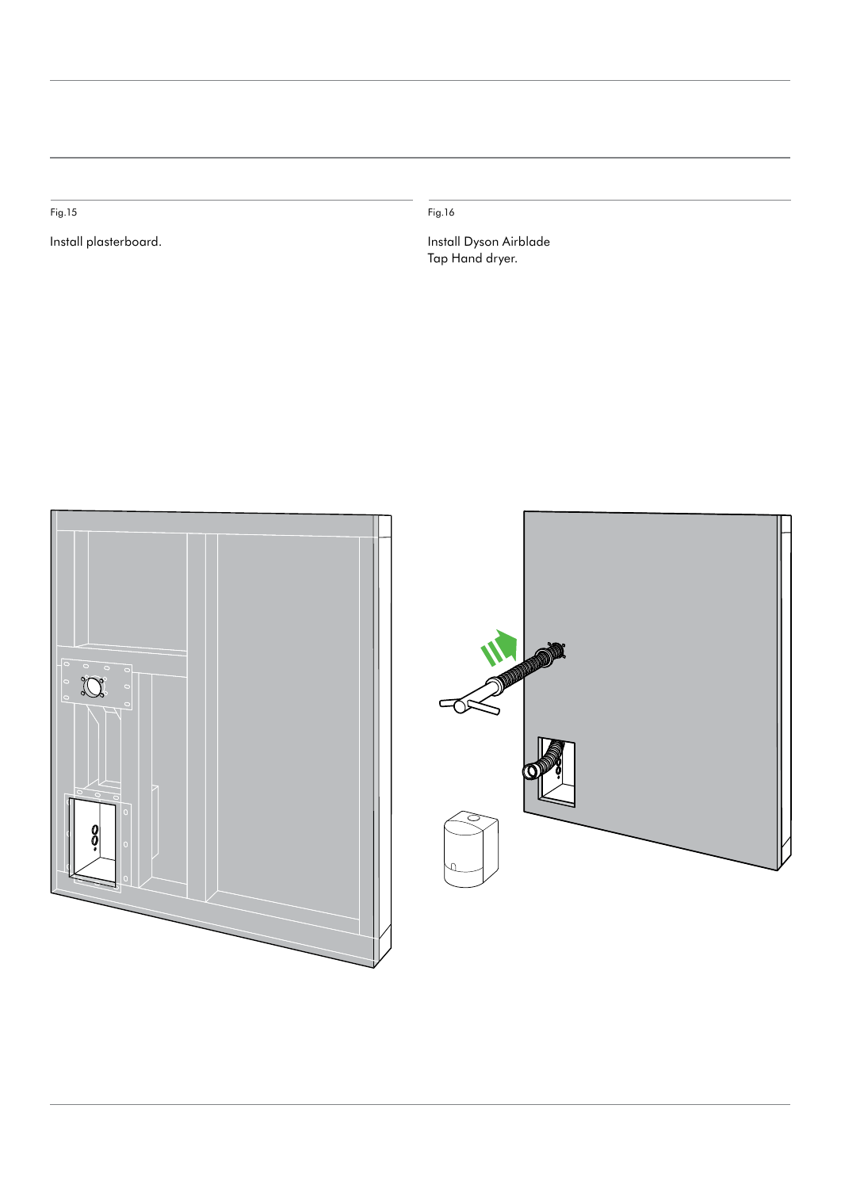Fig.15 Fig.16

Install plasterboard. Install Dyson Airblade Tap Hand dryer.